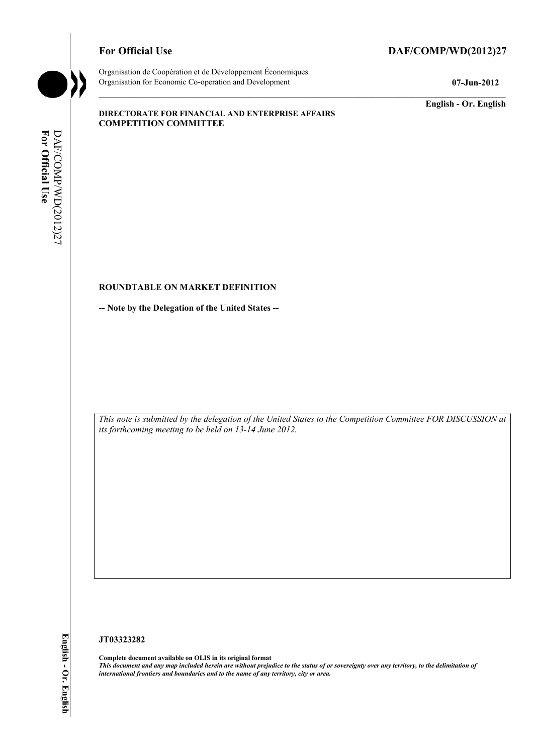# For Official Use DAF/COMP/WD(2012)27



Organisation de Coopération et de Développement Économiques Organisation for Economic Co-operation and Development **07-Jun-2012** 

**English - Or. English** 

#### **DIRECTORATE FOR FINANCIAL AND ENTERPRISE AFFAIRS COMPETITION COMMITTEE**

# For Official Use DAF/COMP/WD(2012)27 **For Official Use**  DAF/COMP/WD(2012)27

# **ROUNDTABLE ON MARKET DEFINITION**

**-- Note by the Delegation of the United States --** 

 *This note is submitted by the delegation of the United States to the Competition Committee FOR DISCUSSION at its forthcoming meeting to be held on 13-14 June 2012.* 

#### **JT03323282**

 **Complete document available on OLIS in its original format**   *This document and any map included herein are without prejudice to the status of or sovereignty over any territory, to the delimitation of international frontiers and boundaries and to the name of any territory, city or area.*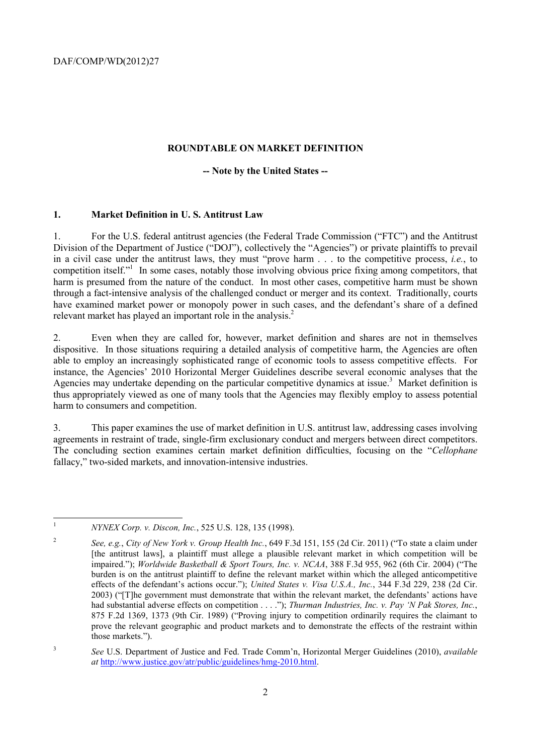#### **ROUNDTABLE ON MARKET DEFINITION**

#### **-- Note by the United States --**

#### **1. Market Definition in U. S. Antitrust Law**

1. For the U.S. federal antitrust agencies (the Federal Trade Commission ("FTC") and the Antitrust Division of the Department of Justice ("DOJ"), collectively the "Agencies") or private plaintiffs to prevail in a civil case under the antitrust laws, they must "prove harm . . . to the competitive process, *i.e.*, to competition itself."<sup>1</sup> In some cases, notably those involving obvious price fixing among competitors, that harm is presumed from the nature of the conduct. In most other cases, competitive harm must be shown through a fact-intensive analysis of the challenged conduct or merger and its context. Traditionally, courts have examined market power or monopoly power in such cases, and the defendant's share of a defined relevant market has played an important role in the analysis.<sup>2</sup>

 instance, the Agencies' 2010 Horizontal Merger Guidelines describe several economic analyses that the 2. Even when they are called for, however, market definition and shares are not in themselves dispositive. In those situations requiring a detailed analysis of competitive harm, the Agencies are often able to employ an increasingly sophisticated range of economic tools to assess competitive effects. For Agencies may undertake depending on the particular competitive dynamics at issue.<sup>3</sup> Market definition is thus appropriately viewed as one of many tools that the Agencies may flexibly employ to assess potential harm to consumers and competition.

 3. This paper examines the use of market definition in U.S. antitrust law, addressing cases involving agreements in restraint of trade, single-firm exclusionary conduct and mergers between direct competitors. The concluding section examines certain market definition difficulties, focusing on the "*Cellophane* fallacy," two-sided markets, and innovation-intensive industries.

<sup>1</sup>*NYNEX Corp. v. Discon, Inc.*, 525 U.S. 128, 135 (1998).

 [the antitrust laws], a plaintiff must allege a plausible relevant market in which competition will be prove the relevant geographic and product markets and to demonstrate the effects of the restraint within <sup>2</sup>*See, e.g.*, *City of New York v. Group Health Inc.*, 649 F.3d 151, 155 (2d Cir. 2011) ("To state a claim under impaired."); *Worldwide Basketball & Sport Tours, Inc. v. NCAA*, 388 F.3d 955, 962 (6th Cir. 2004) ("The burden is on the antitrust plaintiff to define the relevant market within which the alleged anticompetitive effects of the defendant's actions occur."); *United States v. Visa U.S.A., Inc.*, 344 F.3d 229, 238 (2d Cir. 2003) ("[T]he government must demonstrate that within the relevant market, the defendants' actions have had substantial adverse effects on competition . . . ."); *Thurman Industries, Inc. v. Pay 'N Pak Stores, Inc.*, 875 F.2d 1369, 1373 (9th Cir. 1989) ("Proving injury to competition ordinarily requires the claimant to those markets.").

<sup>3</sup>*See* U.S. Department of Justice and Fed. Trade Comm'n, Horizontal Merger Guidelines (2010), *available at* http://www.justice.gov/atr/public/guidelines/hmg-2010.html.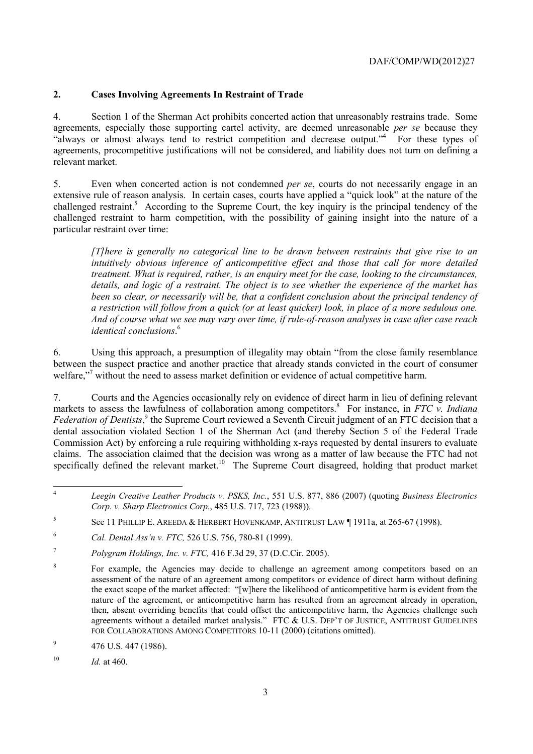# **2. Cases Involving Agreements In Restraint of Trade**

 agreements, especially those supporting cartel activity, are deemed unreasonable *per se* because they 4. Section 1 of the Sherman Act prohibits concerted action that unreasonably restrains trade. Some "always or almost always tend to restrict competition and decrease output."<sup>4</sup> For these types of agreements, procompetitive justifications will not be considered, and liability does not turn on defining a relevant market.

 challenged restraint to harm competition, with the possibility of gaining insight into the nature of a 5. Even when concerted action is not condemned *per se*, courts do not necessarily engage in an extensive rule of reason analysis. In certain cases, courts have applied a "quick look" at the nature of the challenged restraint.<sup>5</sup> According to the Supreme Court, the key inquiry is the principal tendency of the particular restraint over time:

*[T]here is generally no categorical line to be drawn between restraints that give rise to an intuitively obvious inference of anticompetitive effect and those that call for more detailed treatment. What is required, rather, is an enquiry meet for the case, looking to the circumstances, details, and logic of a restraint. The object is to see whether the experience of the market has been so clear, or necessarily will be, that a confident conclusion about the principal tendency of a restriction will follow from a quick (or at least quicker) look, in place of a more sedulous one. And of course what we see may vary over time, if rule-of-reason analyses in case after case reach identical conclusions*. 6

6. Using this approach, a presumption of illegality may obtain "from the close family resemblance between the suspect practice and another practice that already stands convicted in the court of consumer welfare,"<sup>7</sup> without the need to assess market definition or evidence of actual competitive harm.

specifically defined the relevant market.<sup>10</sup> The Supreme Court disagreed, holding that product market 7. Courts and the Agencies occasionally rely on evidence of direct harm in lieu of defining relevant markets to assess the lawfulness of collaboration among competitors.<sup>8</sup> For instance, in *FTC v. Indiana* Federation of Dentists,<sup>9</sup> the Supreme Court reviewed a Seventh Circuit judgment of an FTC decision that a dental association violated Section 1 of the Sherman Act (and thereby Section 5 of the Federal Trade Commission Act) by enforcing a rule requiring withholding x-rays requested by dental insurers to evaluate claims. The association claimed that the decision was wrong as a matter of law because the FTC had not

 <sup>4</sup>*Leegin Creative Leather Products v. PSKS, Inc.*, 551 U.S. 877, 886 (2007) (quoting *Business Electronics Corp. v. Sharp Electronics Corp.*, 485 U.S. 717, 723 (1988)).

 $^{9}$  476 U.S. 447 (1986).

 $10$  *Id.* at 460.

<sup>&</sup>lt;sup>5</sup> See 11 PHILLIP E. AREEDA & HERBERT HOVENKAMP, ANTITRUST LAW [1911a, at 265-67 (1998).

<sup>6</sup>*Cal. Dental Ass'n v. FTC,* 526 U.S. 756, 780-81 (1999).

 $\boldsymbol{7}$ <sup>7</sup>*Polygram Holdings, Inc. v. FTC,* 416 F.3d 29, 37 (D.C.Cir. 2005).

agreements without a detailed market analysis." FTC  $\&$  U.S. DEP'T OF JUSTICE, ANTITRUST GUIDELINES <sup>8</sup> For example, the Agencies may decide to challenge an agreement among competitors based on an assessment of the nature of an agreement among competitors or evidence of direct harm without defining the exact scope of the market affected: "[w]here the likelihood of anticompetitive harm is evident from the nature of the agreement, or anticompetitive harm has resulted from an agreement already in operation, then, absent overriding benefits that could offset the anticompetitive harm, the Agencies challenge such FOR COLLABORATIONS AMONG COMPETITORS 10-11 (2000) (citations omitted).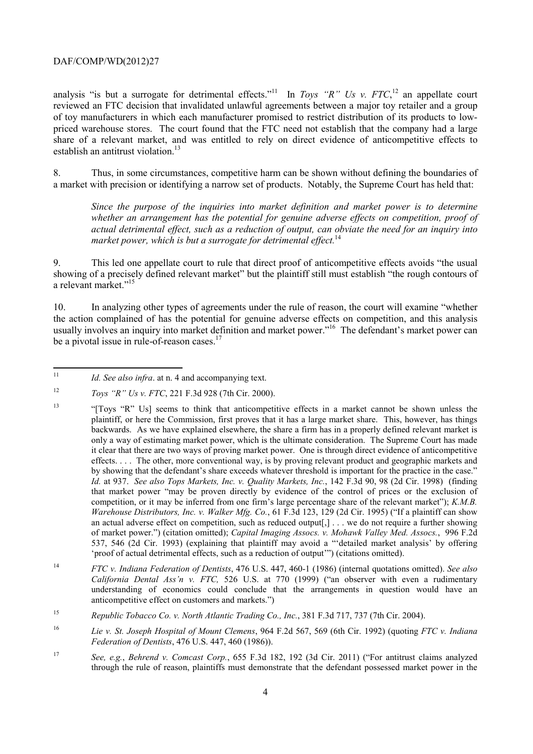establish an antitrust violation.<sup>13</sup> analysis "is but a surrogate for detrimental effects."<sup>11</sup> In *Toys "R" Us v. FTC*,<sup>12</sup> an appellate court reviewed an FTC decision that invalidated unlawful agreements between a major toy retailer and a group of toy manufacturers in which each manufacturer promised to restrict distribution of its products to lowpriced warehouse stores. The court found that the FTC need not establish that the company had a large share of a relevant market, and was entitled to rely on direct evidence of anticompetitive effects to

8. Thus, in some circumstances, competitive harm can be shown without defining the boundaries of a market with precision or identifying a narrow set of products. Notably, the Supreme Court has held that:

*Since the purpose of the inquiries into market definition and market power is to determine whether an arrangement has the potential for genuine adverse effects on competition, proof of actual detrimental effect, such as a reduction of output, can obviate the need for an inquiry into market power, which is but a surrogate for detrimental effect.*<sup>14</sup>

a relevant market."<sup>15</sup> 9. This led one appellate court to rule that direct proof of anticompetitive effects avoids "the usual showing of a precisely defined relevant market" but the plaintiff still must establish "the rough contours of

be a pivotal issue in rule-of-reason cases.<sup>17</sup> 10. In analyzing other types of agreements under the rule of reason, the court will examine "whether the action complained of has the potential for genuine adverse effects on competition, and this analysis usually involves an inquiry into market definition and market power."<sup>16</sup> The defendant's market power can

Id. See also infra. at n. 4 and accompanying text.

 $12$ <sup>12</sup>*Toys "R" Us v. FTC*, 221 F.3d 928 (7th Cir. 2000).

 $13$  backwards. As we have explained elsewhere, the share a firm has in a properly defined relevant market is only a way of estimating market power, which is the ultimate consideration. The Supreme Court has made effects. . . . The other, more conventional way, is by proving relevant product and geographic markets and *Warehouse Distributors, Inc. v. Walker Mfg. Co.*, 61 F.3d 123, 129 (2d Cir. 1995) ("If a plaintiff can show 13 "[Toys "R" Us] seems to think that anticompetitive effects in a market cannot be shown unless the plaintiff, or here the Commission, first proves that it has a large market share. This, however, has things it clear that there are two ways of proving market power. One is through direct evidence of anticompetitive by showing that the defendant's share exceeds whatever threshold is important for the practice in the case." *Id.* at 937. *See also Tops Markets, Inc. v. Quality Markets, Inc.*, 142 F.3d 90, 98 (2d Cir. 1998) (finding that market power "may be proven directly by evidence of the control of prices or the exclusion of competition, or it may be inferred from one firm's large percentage share of the relevant market"); *K.M.B.*  an actual adverse effect on competition, such as reduced output[,] . . . we do not require a further showing of market power.") (citation omitted); *Capital Imaging Assocs. v. Mohawk Valley Med. Assocs.*, 996 F.2d 537, 546 (2d Cir. 1993) (explaining that plaintiff may avoid a "'detailed market analysis' by offering 'proof of actual detrimental effects, such as a reduction of output'") (citations omitted).

<sup>14</sup>*FTC v. Indiana Federation of Dentists*, 476 U.S. 447, 460-1 (1986) (internal quotations omitted). *See also California Dental Ass'n v. FTC,* 526 U.S. at 770 (1999) ("an observer with even a rudimentary understanding of economics could conclude that the arrangements in question would have an anticompetitive effect on customers and markets.")

<sup>15</sup> <sup>15</sup>*Republic Tobacco Co. v. North Atlantic Trading Co., Inc.*, 381 F.3d 717, 737 (7th Cir. 2004).

<sup>16</sup> <sup>16</sup>*Lie v. St. Joseph Hospital of Mount Clemens*, 964 F.2d 567, 569 (6th Cir. 1992) (quoting *FTC v. Indiana Federation of Dentists*, 476 U.S. 447, 460 (1986)).

 $17$ <sup>17</sup>*See, e.g.*, *Behrend v. Comcast Corp.*, 655 F.3d 182, 192 (3d Cir. 2011) ("For antitrust claims analyzed through the rule of reason, plaintiffs must demonstrate that the defendant possessed market power in the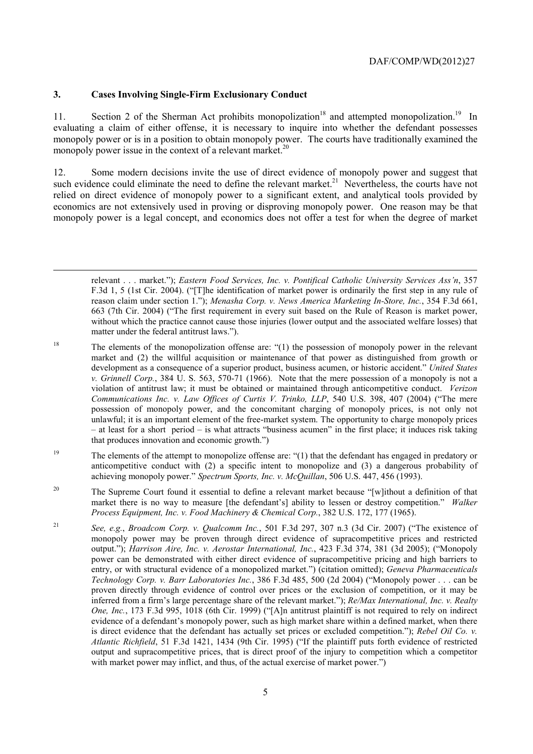#### **3. Cases Involving Single-Firm Exclusionary Conduct**

-

11. Section 2 of the Sherman Act prohibits monopolization<sup>18</sup> and attempted monopolization.<sup>19</sup> In monopoly power issue in the context of a relevant market.<sup>20</sup> evaluating a claim of either offense, it is necessary to inquire into whether the defendant possesses monopoly power or is in a position to obtain monopoly power. The courts have traditionally examined the

12. Some modern decisions invite the use of direct evidence of monopoly power and suggest that such evidence could eliminate the need to define the relevant market.<sup>21</sup> Nevertheless, the courts have not relied on direct evidence of monopoly power to a significant extent, and analytical tools provided by economics are not extensively used in proving or disproving monopoly power. One reason may be that monopoly power is a legal concept, and economics does not offer a test for when the degree of market

relevant . . . market."); *Eastern Food Services, Inc. v. Pontifical Catholic University Services Ass'n*, 357 F.3d 1, 5 (1st Cir. 2004). ("[T]he identification of market power is ordinarily the first step in any rule of reason claim under section 1."); *Menasha Corp. v. News America Marketing In-Store, Inc.*, 354 F.3d 661, 663 (7th Cir. 2004) ("The first requirement in every suit based on the Rule of Reason is market power, without which the practice cannot cause those injuries (lower output and the associated welfare losses) that matter under the federal antitrust laws.").

18 The elements of the monopolization offense are: "(1) the possession of monopoly power in the relevant market and (2) the willful acquisition or maintenance of that power as distinguished from growth or development as a consequence of a superior product, business acumen, or historic accident." *United States v. Grinnell Corp.*, 384 U. S. 563, 570-71 (1966). Note that the mere possession of a monopoly is not a violation of antitrust law; it must be obtained or maintained through anticompetitive conduct. *Verizon Communications Inc. v. Law Offices of Curtis V. Trinko, LLP*, 540 U.S. 398, 407 (2004) ("The mere possession of monopoly power, and the concomitant charging of monopoly prices, is not only not unlawful; it is an important element of the free-market system. The opportunity to charge monopoly prices – at least for a short period – is what attracts "business acumen" in the first place; it induces risk taking that produces innovation and economic growth.")

<sup>19</sup> The elements of the attempt to monopolize offense are: "(1) that the defendant has engaged in predatory or anticompetitive conduct with (2) a specific intent to monopolize and (3) a dangerous probability of achieving monopoly power." *Spectrum Sports, Inc. v. McQuillan*, 506 U.S. 447, 456 (1993).

 market there is no way to measure [the defendant's] ability to lessen or destroy competition." *Walker*  <sup>20</sup> The Supreme Court found it essential to define a relevant market because "[w]ithout a definition of that *Process Equipment, Inc. v. Food Machinery & Chemical Corp.*, 382 U.S. 172, 177 (1965).

 entry, or with structural evidence of a monopolized market.") (citation omitted); *Geneva Pharmaceuticals One, Inc.*, 173 F.3d 995, 1018 (6th Cir. 1999) ("[A]n antitrust plaintiff is not required to rely on indirect evidence of a defendant's monopoly power, such as high market share within a defined market, when there <sup>21</sup>*See, e.g.*, *Broadcom Corp. v. Qualcomm Inc.*, 501 F.3d 297, 307 n.3 (3d Cir. 2007) ("The existence of monopoly power may be proven through direct evidence of supracompetitive prices and restricted output."); *Harrison Aire, Inc. v. Aerostar International, Inc.*, 423 F.3d 374, 381 (3d 2005); ("Monopoly power can be demonstrated with either direct evidence of supracompetitive pricing and high barriers to *Technology Corp. v. Barr Laboratories Inc.*, 386 F.3d 485, 500 (2d 2004) ("Monopoly power . . . can be proven directly through evidence of control over prices or the exclusion of competition, or it may be inferred from a firm's large percentage share of the relevant market."); *Re/Max International, Inc. v. Realty*  is direct evidence that the defendant has actually set prices or excluded competition."); *Rebel Oil Co. v. Atlantic Richfield*, 51 F.3d 1421, 1434 (9th Cir. 1995) ("If the plaintiff puts forth evidence of restricted output and supracompetitive prices, that is direct proof of the injury to competition which a competitor with market power may inflict, and thus, of the actual exercise of market power.")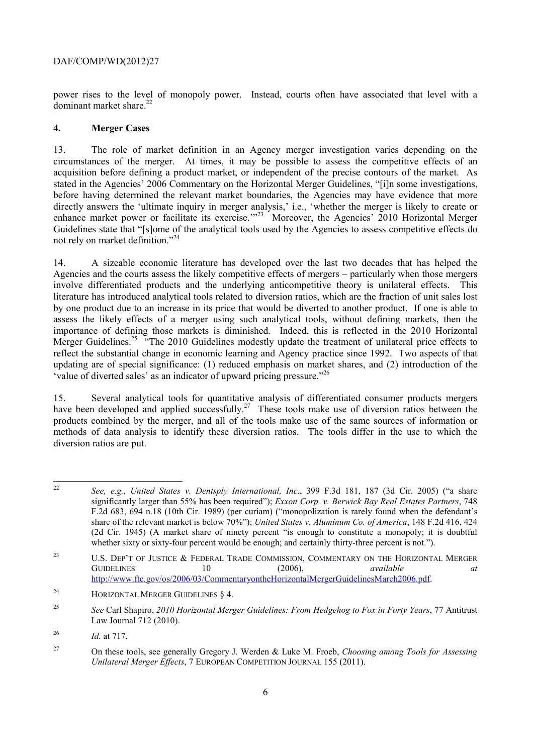dominant market share.<sup>22</sup> power rises to the level of monopoly power. Instead, courts often have associated that level with a

# **4. Merger Cases**

 before having determined the relevant market boundaries, the Agencies may have evidence that more enhance market power or facilitate its exercise."<sup>23</sup> Moreover, the Agencies' 2010 Horizontal Merger 13. The role of market definition in an Agency merger investigation varies depending on the circumstances of the merger. At times, it may be possible to assess the competitive effects of an acquisition before defining a product market, or independent of the precise contours of the market. As stated in the Agencies' 2006 Commentary on the Horizontal Merger Guidelines, "[i]n some investigations, directly answers the 'ultimate inquiry in merger analysis,' i.e., 'whether the merger is likely to create or Guidelines state that "[s]ome of the analytical tools used by the Agencies to assess competitive effects do not rely on market definition."24

14. A sizeable economic literature has developed over the last two decades that has helped the Agencies and the courts assess the likely competitive effects of mergers – particularly when those mergers involve differentiated products and the underlying anticompetitive theory is unilateral effects. This literature has introduced analytical tools related to diversion ratios, which are the fraction of unit sales lost by one product due to an increase in its price that would be diverted to another product. If one is able to assess the likely effects of a merger using such analytical tools, without defining markets, then the importance of defining those markets is diminished. Indeed, this is reflected in the 2010 Horizontal Merger Guidelines.<sup>25</sup> "The 2010 Guidelines modestly update the treatment of unilateral price effects to reflect the substantial change in economic learning and Agency practice since 1992. Two aspects of that updating are of special significance: (1) reduced emphasis on market shares, and (2) introduction of the 'value of diverted sales' as an indicator of upward pricing pressure."26

diversion ratios are put. 15. Several analytical tools for quantitative analysis of differentiated consumer products mergers have been developed and applied successfully.<sup>27</sup> These tools make use of diversion ratios between the products combined by the merger, and all of the tools make use of the same sources of information or methods of data analysis to identify these diversion ratios. The tools differ in the use to which the

 (2d Cir. 1945) (A market share of ninety percent "is enough to constitute a monopoly; it is doubtful See, e.g., *United States v. Dentsply International, Inc.*, 399 F.3d 181, 187 (3d Cir. 2005) ("a share significantly larger than 55% has been required"); *Exxon Corp. v. Berwick Bay Real Estates Partners*, 748 F.2d 683, 694 n.18 (10th Cir. 1989) (per curiam) ("monopolization is rarely found when the defendant's share of the relevant market is below 70%"); *United States v. Aluminum Co. of America*, 148 F.2d 416, 424 whether sixty or sixty-four percent would be enough; and certainly thirty-three percent is not.").

 $23$ U.S. DEP'T OF JUSTICE & FEDERAL TRADE COMMISSION, COMMENTARY ON THE HORIZONTAL MERGER GUIDELINES 10 (2006), *available at*  http://www.ftc.gov/os/2006/03/CommentaryontheHorizontalMergerGuidelinesMarch2006.pdf.

 $24$ HORIZONTAL MERGER GUIDELINES § 4.

<sup>25</sup>*See* Carl Shapiro, *2010 Horizontal Merger Guidelines: From Hedgehog to Fox in Forty Years*, 77 Antitrust Law Journal 712 (2010).

<sup>26</sup> <sup>26</sup>*Id.* at 717.

<sup>27</sup> On these tools, see generally Gregory J. Werden & Luke M. Froeb, *Choosing among Tools for Assessing Unilateral Merger Effects*, 7 EUROPEAN COMPETITION JOURNAL 155 (2011).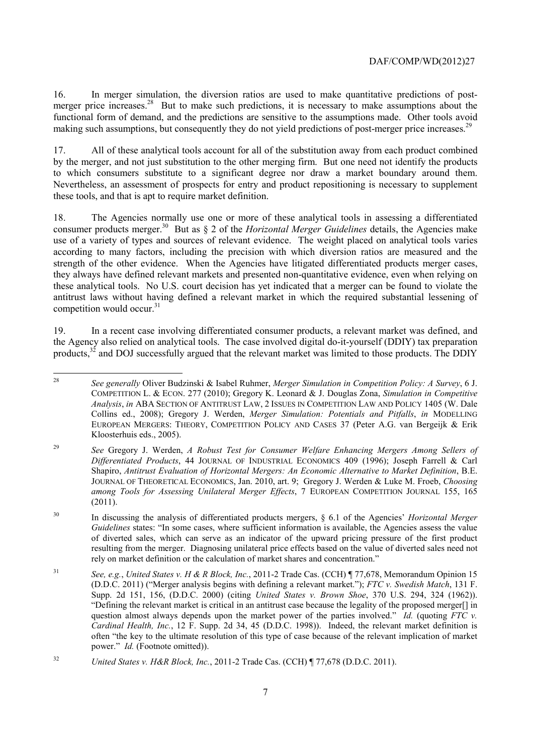16. In merger simulation, the diversion ratios are used to make quantitative predictions of postmerger price increases.<sup>28</sup> But to make such predictions, it is necessary to make assumptions about the functional form of demand, and the predictions are sensitive to the assumptions made. Other tools avoid making such assumptions, but consequently they do not yield predictions of post-merger price increases.<sup>29</sup>

these tools, and that is apt to require market definition. 17. All of these analytical tools account for all of the substitution away from each product combined by the merger, and not just substitution to the other merging firm. But one need not identify the products to which consumers substitute to a significant degree nor draw a market boundary around them. Nevertheless, an assessment of prospects for entry and product repositioning is necessary to supplement

18. The Agencies normally use one or more of these analytical tools in assessing a differentiated consumer products merger.30 But as § 2 of the *Horizontal Merger Guidelines* details, the Agencies make use of a variety of types and sources of relevant evidence. The weight placed on analytical tools varies according to many factors, including the precision with which diversion ratios are measured and the strength of the other evidence. When the Agencies have litigated differentiated products merger cases, they always have defined relevant markets and presented non-quantitative evidence, even when relying on these analytical tools. No U.S. court decision has yet indicated that a merger can be found to violate the antitrust laws without having defined a relevant market in which the required substantial lessening of competition would occur. $31$ 

19. In a recent case involving differentiated consumer products, a relevant market was defined, and the Agency also relied on analytical tools. The case involved digital do-it-yourself (DDIY) tax preparation products,<sup>32</sup> and DOJ successfully argued that the relevant market was limited to those products. The DDIY

 COMPETITION L. & ECON. 277 (2010); Gregory K. Leonard & J. Douglas Zona, *Simulation in Competitive Analysis*, *in* ABA SECTION OF ANTITRUST LAW, 2 ISSUES IN COMPETITION LAW AND POLICY 1405 (W. Dale EUROPEAN MERGERS: THEORY, COMPETITION POLICY AND CASES 37 (Peter A.G. van Bergeijk & Erik <sup>28</sup>*See generally* Oliver Budzinski & Isabel Ruhmer, *Merger Simulation in Competition Policy: A Survey*, 6 J. Collins ed., 2008); Gregory J. Werden, *Merger Simulation: Potentials and Pitfalls*, *in* MODELLING Kloosterhuis eds., 2005).

<sup>29</sup> <sup>29</sup>*See* Gregory J. Werden, *A Robust Test for Consumer Welfare Enhancing Mergers Among Sellers of Differentiated Products*, 44 JOURNAL OF INDUSTRIAL ECONOMICS 409 (1996); Joseph Farrell & Carl Shapiro, *Antitrust Evaluation of Horizontal Mergers: An Economic Alternative to Market Definition*, B.E. JOURNAL OF THEORETICAL ECONOMICS, Jan. 2010, art. 9; Gregory J. Werden & Luke M. Froeb, *Choosing among Tools for Assessing Unilateral Merger Effects*, 7 EUROPEAN COMPETITION JOURNAL 155, 165 (2011).

 of diverted sales, which can serve as an indicator of the upward pricing pressure of the first product 30 In discussing the analysis of differentiated products mergers, § 6.1 of the Agencies' *Horizontal Merger Guidelines* states: "In some cases, where sufficient information is available, the Agencies assess the value resulting from the merger. Diagnosing unilateral price effects based on the value of diverted sales need not rely on market definition or the calculation of market shares and concentration."

 $31$  (D.D.C. 2011) ("Merger analysis begins with defining a relevant market."); *FTC v. Swedish Match*, 131 F. Supp. 2d 151, 156, (D.D.C. 2000) (citing *United States v. Brown Shoe*, 370 U.S. 294, 324 (1962)). Supp. 2d 151, 156, (D.D.C. 2000) (citing *United States v. Brown Shoe*, 370 U.S. 294, 324 (1962)). "Defining the relevant market is critical in an antitrust case because the legality of the proposed merger[] in <sup>31</sup>*See, e.g.*, *United States v. H & R Block, Inc.*, 2011-2 Trade Cas. (CCH) ¶ 77,678, Memorandum Opinion 15 question almost always depends upon the market power of the parties involved." *Id.* (quoting *FTC v. Cardinal Health, Inc.*, 12 F. Supp. 2d 34, 45 (D.D.C. 1998)). Indeed, the relevant market definition is often "the key to the ultimate resolution of this type of case because of the relevant implication of market power." *Id.* (Footnote omitted)).

<sup>32</sup>*United States v. H&R Block, Inc.*, 2011-2 Trade Cas. (CCH) ¶ 77,678 (D.D.C. 2011).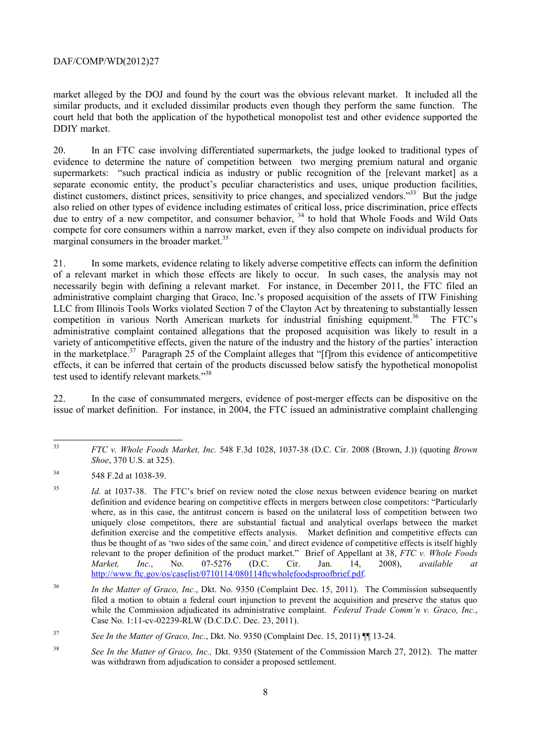similar products, and it excluded dissimilar products even though they perform the same function. The market alleged by the DOJ and found by the court was the obvious relevant market. It included all the court held that both the application of the hypothetical monopolist test and other evidence supported the DDIY market.

marginal consumers in the broader market.<sup>35</sup> 20. In an FTC case involving differentiated supermarkets, the judge looked to traditional types of evidence to determine the nature of competition between two merging premium natural and organic supermarkets: "such practical indicia as industry or public recognition of the [relevant market] as a separate economic entity, the product's peculiar characteristics and uses, unique production facilities, distinct customers, distinct prices, sensitivity to price changes, and specialized vendors."<sup>33</sup> But the judge also relied on other types of evidence including estimates of critical loss, price discrimination, price effects due to entry of a new competitor, and consumer behavior, <sup>34</sup> to hold that Whole Foods and Wild Oats compete for core consumers within a narrow market, even if they also compete on individual products for

21. In some markets, evidence relating to likely adverse competitive effects can inform the definition of a relevant market in which those effects are likely to occur. In such cases, the analysis may not necessarily begin with defining a relevant market. For instance, in December 2011, the FTC filed an administrative complaint charging that Graco, Inc.'s proposed acquisition of the assets of ITW Finishing LLC from Illinois Tools Works violated Section 7 of the Clayton Act by threatening to substantially lessen competition in various North American markets for industrial finishing equipment.<sup>36</sup> The FTC's administrative complaint contained allegations that the proposed acquisition was likely to result in a variety of anticompetitive effects, given the nature of the industry and the history of the parties' interaction in the marketplace.<sup>37</sup> Paragraph 25 of the Complaint alleges that "[f]rom this evidence of anticompetitive effects, it can be inferred that certain of the products discussed below satisfy the hypothetical monopolist test used to identify relevant markets."<sup>38</sup>

22. In the case of consummated mergers, evidence of post-merger effects can be dispositive on the issue of market definition. For instance, in 2004, the FTC issued an administrative complaint challenging

 $\overline{a}$ <sup>33</sup>*FTC v. Whole Foods Market, Inc.* 548 F.3d 1028, 1037-38 (D.C. Cir. 2008 (Brown, J.)) (quoting *Brown Shoe*, 370 U.S. at 325).

<sup>34 548</sup> F.2d at 1038-39.

 where, as in this case, the antitrust concern is based on the unilateral loss of competition between two thus be thought of as 'two sides of the same coin,' and direct evidence of competitive effects is itself highly <sup>35</sup> *Id.* at 1037-38. The FTC's brief on review noted the close nexus between evidence bearing on market definition and evidence bearing on competitive effects in mergers between close competitors: "Particularly uniquely close competitors, there are substantial factual and analytical overlaps between the market definition exercise and the competitive effects analysis. Market definition and competitive effects can relevant to the proper definition of the product market." Brief of Appellant at 38, *FTC v. Whole Foods Market, Inc.*, No. 07-5276 (D.C. Cir. Jan. 14, 2008), *available at*  http://www.ftc.gov/os/caselist/0710114/080114ftcwholefoodsproofbrief.pdf.

<sup>36</sup>*In the Matter of Graco, Inc.*, Dkt. No. 9350 (Complaint Dec. 15, 2011). The Commission subsequently filed a motion to obtain a federal court injunction to prevent the acquisition and preserve the status quo while the Commission adjudicated its administrative complaint. *Federal Trade Comm'n v. Graco, Inc.*, Case No. 1:11-cv-02239-RLW (D.C.D.C. Dec. 23, 2011).

<sup>37</sup> <sup>37</sup>*See In the Matter of Graco, Inc.*, Dkt. No. 9350 (Complaint Dec. 15, 2011) ¶¶ 13-24.

<sup>38</sup>*See In the Matter of Graco, Inc.,* Dkt. 9350 (Statement of the Commission March 27, 2012). The matter was withdrawn from adjudication to consider a proposed settlement.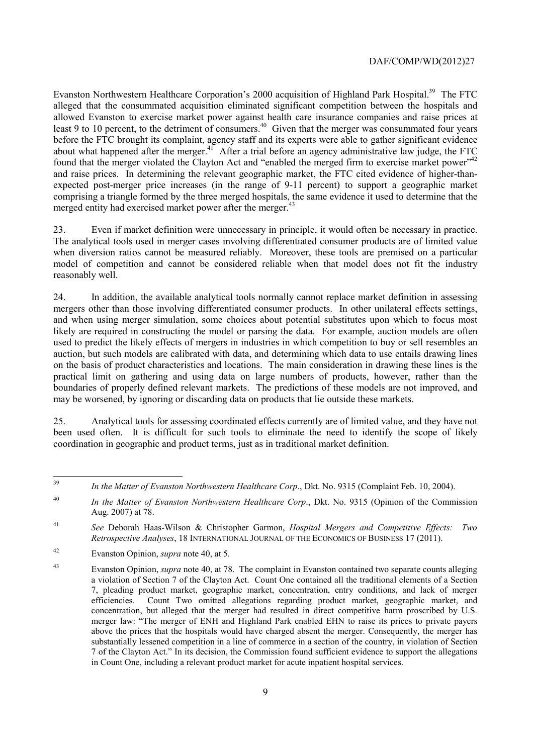merged entity had exercised market power after the merger.<sup>43</sup> Evanston Northwestern Healthcare Corporation's 2000 acquisition of Highland Park Hospital.<sup>39</sup> The FTC alleged that the consummated acquisition eliminated significant competition between the hospitals and allowed Evanston to exercise market power against health care insurance companies and raise prices at least 9 to 10 percent, to the detriment of consumers.<sup>40</sup> Given that the merger was consummated four years before the FTC brought its complaint, agency staff and its experts were able to gather significant evidence about what happened after the merger.<sup>41</sup> After a trial before an agency administrative law judge, the FTC found that the merger violated the Clayton Act and "enabled the merged firm to exercise market power"<sup>42</sup> and raise prices. In determining the relevant geographic market, the FTC cited evidence of higher-thanexpected post-merger price increases (in the range of 9-11 percent) to support a geographic market comprising a triangle formed by the three merged hospitals, the same evidence it used to determine that the

Even if market definition were unnecessary in principle, it would often be necessary in practice. reasonably well. 23. Even if market definition were unnecessary in principle, it would often be necessary in practice. The analytical tools used in merger cases involving differentiated consumer products are of limited value when diversion ratios cannot be measured reliably. Moreover, these tools are premised on a particular model of competition and cannot be considered reliable when that model does not fit the industry

 boundaries of properly defined relevant markets. The predictions of these models are not improved, and 24. In addition, the available analytical tools normally cannot replace market definition in assessing mergers other than those involving differentiated consumer products. In other unilateral effects settings, and when using merger simulation, some choices about potential substitutes upon which to focus most likely are required in constructing the model or parsing the data. For example, auction models are often used to predict the likely effects of mergers in industries in which competition to buy or sell resembles an auction, but such models are calibrated with data, and determining which data to use entails drawing lines on the basis of product characteristics and locations. The main consideration in drawing these lines is the practical limit on gathering and using data on large numbers of products, however, rather than the may be worsened, by ignoring or discarding data on products that lie outside these markets.

25. Analytical tools for assessing coordinated effects currently are of limited value, and they have not been used often. It is difficult for such tools to eliminate the need to identify the scope of likely coordination in geographic and product terms, just as in traditional market definition.

 $\overline{a}$ 

<sup>39</sup>*In the Matter of Evanston Northwestern Healthcare Corp*., Dkt. No. 9315 (Complaint Feb. 10, 2004).

<sup>40</sup>*In the Matter of Evanston Northwestern Healthcare Corp*., Dkt. No. 9315 (Opinion of the Commission Aug. 2007) at 78.

<sup>41</sup>*See* Deborah Haas-Wilson & Christopher Garmon, *Hospital Mergers and Competitive Effects: Two Retrospective Analyses*, 18 INTERNATIONAL JOURNAL OF THE ECONOMICS OF BUSINESS 17 (2011).

<sup>42</sup> Evanston Opinion, *supra* note 40, at 5.

 a violation of Section 7 of the Clayton Act. Count One contained all the traditional elements of a Section 7, pleading product market, geographic market, concentration, entry conditions, and lack of merger merger law: "The merger of ENH and Highland Park enabled EHN to raise its prices to private payers 43 Evanston Opinion, *supra* note 40, at 78. The complaint in Evanston contained two separate counts alleging efficiencies. Count Two omitted allegations regarding product market, geographic market, and concentration, but alleged that the merger had resulted in direct competitive harm proscribed by U.S. above the prices that the hospitals would have charged absent the merger. Consequently, the merger has substantially lessened competition in a line of commerce in a section of the country, in violation of Section 7 of the Clayton Act." In its decision, the Commission found sufficient evidence to support the allegations in Count One, including a relevant product market for acute inpatient hospital services.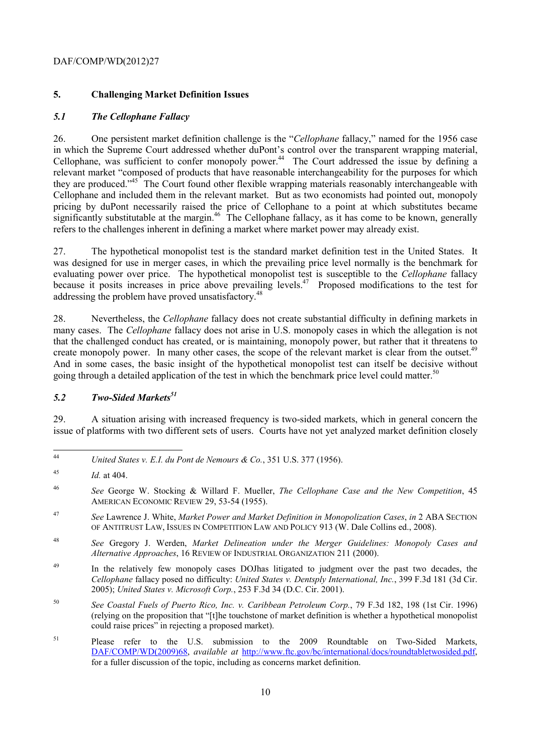# **5. Challenging Market Definition Issues**

# *5.1 The Cellophane Fallacy*

 in which the Supreme Court addressed whether duPont's control over the transparent wrapping material, 26. One persistent market definition challenge is the "*Cellophane* fallacy," named for the 1956 case Cellophane, was sufficient to confer monopoly power.44 The Court addressed the issue by defining a relevant market "composed of products that have reasonable interchangeability for the purposes for which they are produced."<sup>45</sup> The Court found other flexible wrapping materials reasonably interchangeable with Cellophane and included them in the relevant market. But as two economists had pointed out, monopoly pricing by duPont necessarily raised the price of Cellophane to a point at which substitutes became significantly substitutable at the margin.<sup>46</sup> The Cellophane fallacy, as it has come to be known, generally refers to the challenges inherent in defining a market where market power may already exist.

addressing the problem have proved unsatisfactory.<sup>48</sup> 27. The hypothetical monopolist test is the standard market definition test in the United States. It was designed for use in merger cases, in which the prevailing price level normally is the benchmark for evaluating power over price. The hypothetical monopolist test is susceptible to the *Cellophane* fallacy because it posits increases in price above prevailing levels.<sup>47</sup> Proposed modifications to the test for

create monopoly power. In many other cases, the scope of the relevant market is clear from the outset.<sup>49</sup> going through a detailed application of the test in which the benchmark price level could matter.<sup>50</sup> 28. Nevertheless, the *Cellophane* fallacy does not create substantial difficulty in defining markets in many cases. The *Cellophane* fallacy does not arise in U.S. monopoly cases in which the allegation is not that the challenged conduct has created, or is maintaining, monopoly power, but rather that it threatens to And in some cases, the basic insight of the hypothetical monopolist test can itself be decisive without

# *5.2 Two-Sided Markets51*

29. A situation arising with increased frequency is two-sided markets, which in general concern the issue of platforms with two different sets of users. Courts have not yet analyzed market definition closely

- <sup>47</sup>*See* Lawrence J. White, *Market Power and Market Definition in Monopolization Cases*, *in* 2 ABA SECTION OF ANTITRUST LAW, ISSUES IN COMPETITION LAW AND POLICY 913 (W. Dale Collins ed., 2008).
- 48 <sup>48</sup>*See* Gregory J. Werden, *Market Delineation under the Merger Guidelines: Monopoly Cases and Alternative Approaches*, 16 REVIEW OF INDUSTRIAL ORGANIZATION 211 (2000).
- <sup>49</sup> In the relatively few monopoly cases DOJhas litigated to judgment over the past two decades, the *Cellophane* fallacy posed no difficulty: *United States v. Dentsply International, Inc.*, 399 F.3d 181 (3d Cir. 2005); *United States v. Microsoft Corp.*, 253 F.3d 34 (D.C. Cir. 2001).
- 50 <sup>50</sup>*See Coastal Fuels of Puerto Rico, Inc. v. Caribbean Petroleum Corp.*, 79 F.3d 182, 198 (1st Cir. 1996) (relying on the proposition that "[t]he touchstone of market definition is whether a hypothetical monopolist could raise prices" in rejecting a proposed market).

<sup>44</sup>*United States v. E.I. du Pont de Nemours & Co.*, 351 U.S. 377 (1956).

<sup>45</sup> *Id.* at 404.

<sup>46</sup> <sup>46</sup>*See* George W. Stocking & Willard F. Mueller, *The Cellophane Case and the New Competition*, 45 AMERICAN ECONOMIC REVIEW 29, 53-54 (1955).

<sup>51</sup> for a fuller discussion of the topic, including as concerns market definition.<br>
10 Please refer to the U.S. submission to the 2009 Roundtable on Two-Sided Markets, DAF/COMP/WD(2009)68, *available at* http://www.ftc.gov/bc/international/docs/roundtabletwosided.pdf,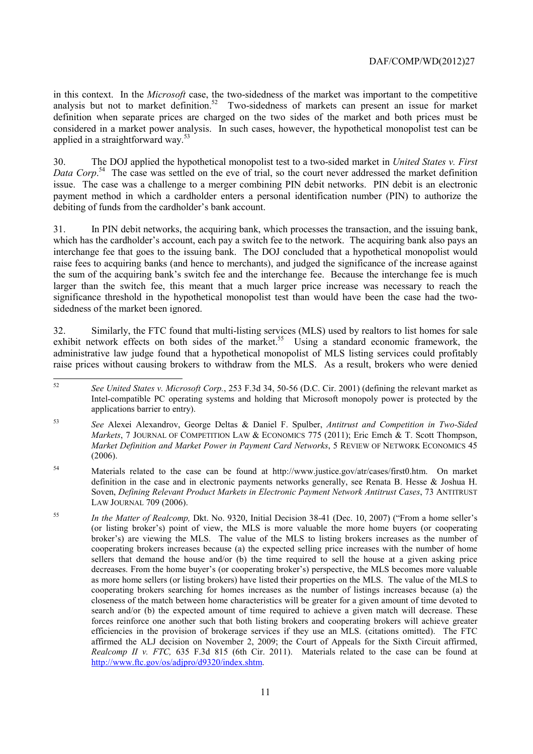applied in a straightforward way.<sup>53</sup> in this context. In the *Microsoft* case, the two-sidedness of the market was important to the competitive analysis but not to market definition.<sup>52</sup> Two-sidedness of markets can present an issue for market definition when separate prices are charged on the two sides of the market and both prices must be considered in a market power analysis. In such cases, however, the hypothetical monopolist test can be

30. The DOJ applied the hypothetical monopolist test to a two-sided market in *United States v. First*  Data Corp.<sup>54</sup> The case was settled on the eve of trial, so the court never addressed the market definition issue. The case was a challenge to a merger combining PIN debit networks. PIN debit is an electronic payment method in which a cardholder enters a personal identification number (PIN) to authorize the debiting of funds from the cardholder's bank account.

31. In PIN debit networks, the acquiring bank, which processes the transaction, and the issuing bank, which has the cardholder's account, each pay a switch fee to the network. The acquiring bank also pays an interchange fee that goes to the issuing bank. The DOJ concluded that a hypothetical monopolist would raise fees to acquiring banks (and hence to merchants), and judged the significance of the increase against the sum of the acquiring bank's switch fee and the interchange fee. Because the interchange fee is much larger than the switch fee, this meant that a much larger price increase was necessary to reach the significance threshold in the hypothetical monopolist test than would have been the case had the twosidedness of the market been ignored.

32. Similarly, the FTC found that multi-listing services (MLS) used by realtors to list homes for sale exhibit network effects on both sides of the market.<sup>55</sup> Using a standard economic framework, the administrative law judge found that a hypothetical monopolist of MLS listing services could profitably raise prices without causing brokers to withdraw from the MLS. As a result, brokers who were denied

 Intel-compatible PC operating systems and holding that Microsoft monopoly power is protected by the <sup>52</sup>*See United States v. Microsoft Corp.*, 253 F.3d 34, 50-56 (D.C. Cir. 2001) (defining the relevant market as applications barrier to entry).

 *Markets*, 7 JOURNAL OF COMPETITION LAW & ECONOMICS 775 (2011); Eric Emch & T. Scott Thompson, <sup>53</sup>*See* Alexei Alexandrov, George Deltas & Daniel F. Spulber, *Antitrust and Competition in Two-Sided Market Definition and Market Power in Payment Card Networks*, 5 REVIEW OF NETWORK ECONOMICS 45 (2006).

- 54 Materials related to the case can be found at http://www.justice.gov/atr/cases/first0.htm. On market definition in the case and in electronic payments networks generally, see Renata B. Hesse & Joshua H. Soven, *Defining Relevant Product Markets in Electronic Payment Network Antitrust Cases*, 73 ANTITRUST LAW JOURNAL 709 (2006).
- 55 cooperating brokers increases because (a) the expected selling price increases with the number of home cooperating brokers searching for homes increases as the number of listings increases because (a) the search and/or (b) the expected amount of time required to achieve a given match will decrease. These affirmed the ALJ decision on November 2, 2009; the Court of Appeals for the Sixth Circuit affirmed, <sup>55</sup>*In the Matter of Realcomp,* Dkt. No. 9320, Initial Decision 38-41 (Dec. 10, 2007) ("From a home seller's (or listing broker's) point of view, the MLS is more valuable the more home buyers (or cooperating broker's) are viewing the MLS. The value of the MLS to listing brokers increases as the number of sellers that demand the house and/or (b) the time required to sell the house at a given asking price decreases. From the home buyer's (or cooperating broker's) perspective, the MLS becomes more valuable as more home sellers (or listing brokers) have listed their properties on the MLS. The value of the MLS to closeness of the match between home characteristics will be greater for a given amount of time devoted to forces reinforce one another such that both listing brokers and cooperating brokers will achieve greater efficiencies in the provision of brokerage services if they use an MLS. (citations omitted). The FTC *Realcomp II v. FTC,* 635 F.3d 815 (6th Cir. 2011). Materials related to the case can be found at http://www.ftc.gov/os/adjpro/d9320/index.shtm.